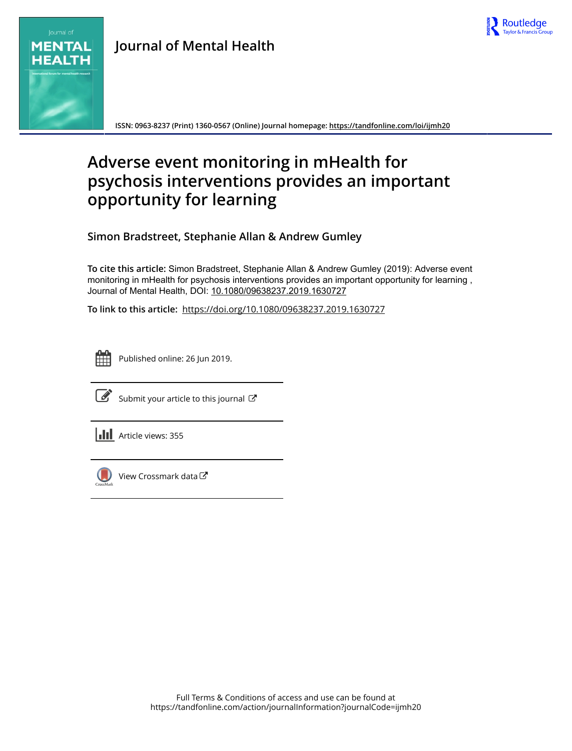

# **MENTAL HEALTH**

**Journal of Mental Health**

**ISSN: 0963-8237 (Print) 1360-0567 (Online) Journal homepage:<https://tandfonline.com/loi/ijmh20>**

## **Adverse event monitoring in mHealth for psychosis interventions provides an important opportunity for learning**

**Simon Bradstreet, Stephanie Allan & Andrew Gumley**

**To cite this article:** Simon Bradstreet, Stephanie Allan & Andrew Gumley (2019): Adverse event monitoring in mHealth for psychosis interventions provides an important opportunity for learning , Journal of Mental Health, DOI: [10.1080/09638237.2019.1630727](https://tandfonline.com/action/showCitFormats?doi=10.1080/09638237.2019.1630727)

**To link to this article:** <https://doi.org/10.1080/09638237.2019.1630727>



Published online: 26 Jun 2019.



 $\overrightarrow{S}$  [Submit your article to this journal](https://tandfonline.com/action/authorSubmission?journalCode=ijmh20&show=instructions)  $\overrightarrow{S}$ 





 $\bigcirc$  [View Crossmark data](http://crossmark.crossref.org/dialog/?doi=10.1080/09638237.2019.1630727&domain=pdf&date_stamp=2019-06-26) $\mathbb{Z}$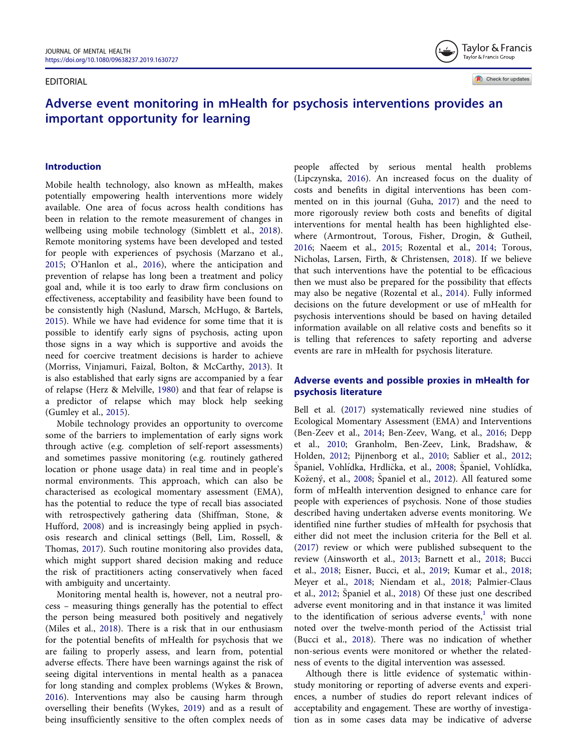#### <span id="page-1-0"></span>EDITORIAL

Taylor & Francis Taylor & Francis Group

### Adverse event monitoring in mHealth for psychosis interventions provides an important opportunity for learning

#### Introduction

Mobile health technology, also known as mHealth, makes potentially empowering health interventions more widely available. One area of focus across health conditions has been in relation to the remote measurement of changes in wellbeing using mobile technology (Simblett et al., [2018\)](#page-6-0). Remote monitoring systems have been developed and tested for people with experiences of psychosis (Marzano et al., [2015](#page-5-0); O'Hanlon et al., [2016](#page-6-0)), where the anticipation and prevention of relapse has long been a treatment and policy goal and, while it is too early to draw firm conclusions on effectiveness, acceptability and feasibility have been found to be consistently high (Naslund, Marsch, McHugo, & Bartels, [2015](#page-5-0)). While we have had evidence for some time that it is possible to identify early signs of psychosis, acting upon those signs in a way which is supportive and avoids the need for coercive treatment decisions is harder to achieve (Morriss, Vinjamuri, Faizal, Bolton, & McCarthy, [2013\)](#page-5-0). It is also established that early signs are accompanied by a fear of relapse (Herz & Melville, [1980\)](#page-5-0) and that fear of relapse is a predictor of relapse which may block help seeking (Gumley et al., [2015](#page-5-0)).

Mobile technology provides an opportunity to overcome some of the barriers to implementation of early signs work through active (e.g. completion of self-report assessments) and sometimes passive monitoring (e.g. routinely gathered location or phone usage data) in real time and in people's normal environments. This approach, which can also be characterised as ecological momentary assessment (EMA), has the potential to reduce the type of recall bias associated with retrospectively gathering data (Shiffman, Stone, & Hufford, [2008\)](#page-6-0) and is increasingly being applied in psychosis research and clinical settings (Bell, Lim, Rossell, & Thomas, [2017\)](#page-5-0). Such routine monitoring also provides data, which might support shared decision making and reduce the risk of practitioners acting conservatively when faced with ambiguity and uncertainty.

Monitoring mental health is, however, not a neutral process – measuring things generally has the potential to effect the person being measured both positively and negatively (Miles et al., [2018](#page-5-0)). There is a risk that in our enthusiasm for the potential benefits of mHealth for psychosis that we are failing to properly assess, and learn from, potential adverse effects. There have been warnings against the risk of seeing digital interventions in mental health as a panacea for long standing and complex problems (Wykes & Brown, [2016](#page-6-0)). Interventions may also be causing harm through overselling their benefits (Wykes, [2019](#page-6-0)) and as a result of being insufficiently sensitive to the often complex needs of people affected by serious mental health problems (Lipczynska, [2016](#page-5-0)). An increased focus on the duality of costs and benefits in digital interventions has been commented on in this journal (Guha, [2017](#page-5-0)) and the need to more rigorously review both costs and benefits of digital interventions for mental health has been highlighted elsewhere (Armontrout, Torous, Fisher, Drogin, & Gutheil, [2016;](#page-5-0) Naeem et al., [2015;](#page-5-0) Rozental et al., [2014](#page-6-0); Torous, Nicholas, Larsen, Firth, & Christensen, [2018\)](#page-6-0). If we believe that such interventions have the potential to be efficacious then we must also be prepared for the possibility that effects may also be negative (Rozental et al., [2014](#page-6-0)). Fully informed decisions on the future development or use of mHealth for psychosis interventions should be based on having detailed information available on all relative costs and benefits so it is telling that references to safety reporting and adverse events are rare in mHealth for psychosis literature.

#### Adverse events and possible proxies in mHealth for psychosis literature

Bell et al. ([2017\)](#page-5-0) systematically reviewed nine studies of Ecological Momentary Assessment (EMA) and Interventions (Ben-Zeev et al., [2014;](#page-5-0) Ben-Zeev, Wang, et al., [2016;](#page-5-0) Depp et al., [2010;](#page-5-0) Granholm, Ben-Zeev, Link, Bradshaw, & Holden, [2012](#page-5-0); Pijnenborg et al., [2010](#page-6-0); Sablier et al., [2012](#page-6-0); Spaniel, Vohlıdka, Hrdlicka, et al., [2008](#page-6-0); Spaniel, Vohlıdka, Kozeny, et al., [2008;](#page-6-0) Spaniel et al., [2012\)](#page-6-0). All featured some form of mHealth intervention designed to enhance care for people with experiences of psychosis. None of those studies described having undertaken adverse events monitoring. We identified nine further studies of mHealth for psychosis that either did not meet the inclusion criteria for the Bell et al. [\(2017](#page-5-0)) review or which were published subsequent to the review (Ainsworth et al., [2013;](#page-5-0) Barnett et al., [2018;](#page-5-0) Bucci et al., [2018;](#page-5-0) Eisner, Bucci, et al., [2019;](#page-5-0) Kumar et al., [2018](#page-5-0); Meyer et al., [2018;](#page-5-0) Niendam et al., [2018;](#page-6-0) Palmier-Claus et al., [2012](#page-6-0); Spaniel et al., [2018\)](#page-6-0) Of these just one described adverse event monitoring and in that instance it was limited to the identification of serious adverse events, $1$  with none noted over the twelve-month period of the Actissist trial (Bucci et al., [2018](#page-5-0)). There was no indication of whether non-serious events were monitored or whether the relatedness of events to the digital intervention was assessed.

Although there is little evidence of systematic withinstudy monitoring or reporting of adverse events and experiences, a number of studies do report relevant indices of acceptability and engagement. These are worthy of investigation as in some cases data may be indicative of adverse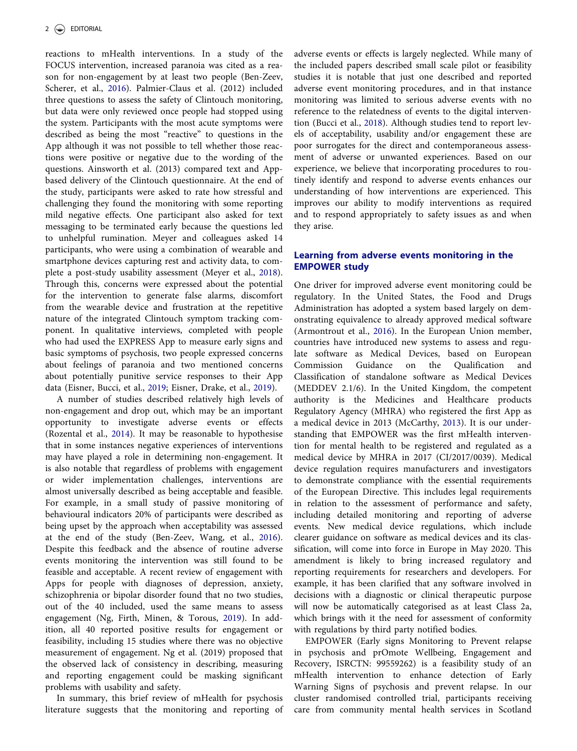<span id="page-2-0"></span>reactions to mHealth interventions. In a study of the FOCUS intervention, increased paranoia was cited as a reason for non-engagement by at least two people (Ben-Zeev, Scherer, et al., [2016](#page-5-0)). Palmier-Claus et al. (2012) included three questions to assess the safety of Clintouch monitoring, but data were only reviewed once people had stopped using the system. Participants with the most acute symptoms were described as being the most "reactive" to questions in the App although it was not possible to tell whether those reactions were positive or negative due to the wording of the questions. Ainsworth et al. (2013) compared text and Appbased delivery of the Clintouch questionnaire. At the end of the study, participants were asked to rate how stressful and challenging they found the monitoring with some reporting mild negative effects. One participant also asked for text messaging to be terminated early because the questions led to unhelpful rumination. Meyer and colleagues asked 14 participants, who were using a combination of wearable and smartphone devices capturing rest and activity data, to complete a post-study usability assessment (Meyer et al., [2018\)](#page-5-0). Through this, concerns were expressed about the potential for the intervention to generate false alarms, discomfort from the wearable device and frustration at the repetitive nature of the integrated Clintouch symptom tracking component. In qualitative interviews, completed with people who had used the EXPRESS App to measure early signs and basic symptoms of psychosis, two people expressed concerns about feelings of paranoia and two mentioned concerns about potentially punitive service responses to their App data (Eisner, Bucci, et al., [2019](#page-5-0); Eisner, Drake, et al., [2019\)](#page-5-0).

A number of studies described relatively high levels of non-engagement and drop out, which may be an important opportunity to investigate adverse events or effects (Rozental et al., [2014\)](#page-6-0). It may be reasonable to hypothesise that in some instances negative experiences of interventions may have played a role in determining non-engagement. It is also notable that regardless of problems with engagement or wider implementation challenges, interventions are almost universally described as being acceptable and feasible. For example, in a small study of passive monitoring of behavioural indicators 20% of participants were described as being upset by the approach when acceptability was assessed at the end of the study (Ben-Zeev, Wang, et al., [2016\)](#page-5-0). Despite this feedback and the absence of routine adverse events monitoring the intervention was still found to be feasible and acceptable. A recent review of engagement with Apps for people with diagnoses of depression, anxiety, schizophrenia or bipolar disorder found that no two studies, out of the 40 included, used the same means to assess engagement (Ng, Firth, Minen, & Torous, [2019](#page-5-0)). In addition, all 40 reported positive results for engagement or feasibility, including 15 studies where there was no objective measurement of engagement. Ng et al. (2019) proposed that the observed lack of consistency in describing, measuring and reporting engagement could be masking significant problems with usability and safety.

In summary, this brief review of mHealth for psychosis literature suggests that the monitoring and reporting of adverse events or effects is largely neglected. While many of the included papers described small scale pilot or feasibility studies it is notable that just one described and reported adverse event monitoring procedures, and in that instance monitoring was limited to serious adverse events with no reference to the relatedness of events to the digital intervention (Bucci et al., [2018\)](#page-5-0). Although studies tend to report levels of acceptability, usability and/or engagement these are poor surrogates for the direct and contemporaneous assessment of adverse or unwanted experiences. Based on our experience, we believe that incorporating procedures to routinely identify and respond to adverse events enhances our understanding of how interventions are experienced. This improves our ability to modify interventions as required and to respond appropriately to safety issues as and when they arise.

#### Learning from adverse events monitoring in the EMPOWER study

One driver for improved adverse event monitoring could be regulatory. In the United States, the Food and Drugs Administration has adopted a system based largely on demonstrating equivalence to already approved medical software (Armontrout et al., [2016\)](#page-5-0). In the European Union member, countries have introduced new systems to assess and regulate software as Medical Devices, based on European Commission Guidance on the Qualification and Classification of standalone software as Medical Devices (MEDDEV 2.1/6). In the United Kingdom, the competent authority is the Medicines and Healthcare products Regulatory Agency (MHRA) who registered the first App as a medical device in 2013 (McCarthy, [2013\)](#page-5-0). It is our understanding that EMPOWER was the first mHealth intervention for mental health to be registered and regulated as a medical device by MHRA in 2017 (CI/2017/0039). Medical device regulation requires manufacturers and investigators to demonstrate compliance with the essential requirements of the European Directive. This includes legal requirements in relation to the assessment of performance and safety, including detailed monitoring and reporting of adverse events. New medical device regulations, which include clearer guidance on software as medical devices and its classification, will come into force in Europe in May 2020. This amendment is likely to bring increased regulatory and reporting requirements for researchers and developers. For example, it has been clarified that any software involved in decisions with a diagnostic or clinical therapeutic purpose will now be automatically categorised as at least Class 2a, which brings with it the need for assessment of conformity with regulations by third party notified bodies.

EMPOWER (Early signs Monitoring to Prevent relapse in psychosis and prOmote Wellbeing, Engagement and Recovery, ISRCTN: 99559262) is a feasibility study of an mHealth intervention to enhance detection of Early Warning Signs of psychosis and prevent relapse. In our cluster randomised controlled trial, participants receiving care from community mental health services in Scotland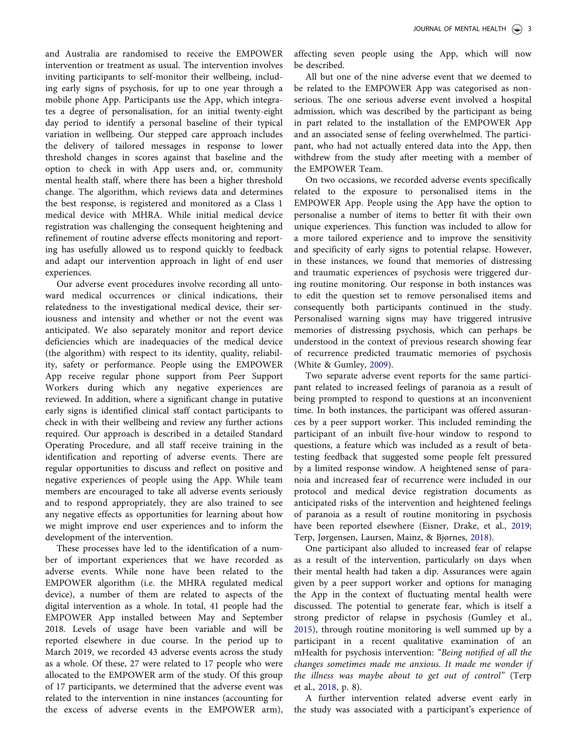<span id="page-3-0"></span>and Australia are randomised to receive the EMPOWER intervention or treatment as usual. The intervention involves inviting participants to self-monitor their wellbeing, including early signs of psychosis, for up to one year through a mobile phone App. Participants use the App, which integrates a degree of personalisation, for an initial twenty-eight day period to identify a personal baseline of their typical variation in wellbeing. Our stepped care approach includes the delivery of tailored messages in response to lower threshold changes in scores against that baseline and the option to check in with App users and, or, community mental health staff, where there has been a higher threshold change. The algorithm, which reviews data and determines the best response, is registered and monitored as a Class 1 medical device with MHRA. While initial medical device registration was challenging the consequent heightening and refinement of routine adverse effects monitoring and reporting has usefully allowed us to respond quickly to feedback and adapt our intervention approach in light of end user experiences.

Our adverse event procedures involve recording all untoward medical occurrences or clinical indications, their relatedness to the investigational medical device, their seriousness and intensity and whether or not the event was anticipated. We also separately monitor and report device deficiencies which are inadequacies of the medical device (the algorithm) with respect to its identity, quality, reliability, safety or performance. People using the EMPOWER App receive regular phone support from Peer Support Workers during which any negative experiences are reviewed. In addition, where a significant change in putative early signs is identified clinical staff contact participants to check in with their wellbeing and review any further actions required. Our approach is described in a detailed Standard Operating Procedure, and all staff receive training in the identification and reporting of adverse events. There are regular opportunities to discuss and reflect on positive and negative experiences of people using the App. While team members are encouraged to take all adverse events seriously and to respond appropriately, they are also trained to see any negative effects as opportunities for learning about how we might improve end user experiences and to inform the development of the intervention.

These processes have led to the identification of a number of important experiences that we have recorded as adverse events. While none have been related to the EMPOWER algorithm (i.e. the MHRA regulated medical device), a number of them are related to aspects of the digital intervention as a whole. In total, 41 people had the EMPOWER App installed between May and September 2018. Levels of usage have been variable and will be reported elsewhere in due course. In the period up to March 2019, we recorded 43 adverse events across the study as a whole. Of these, 27 were related to 17 people who were allocated to the EMPOWER arm of the study. Of this group of 17 participants, we determined that the adverse event was related to the intervention in nine instances (accounting for the excess of adverse events in the EMPOWER arm), affecting seven people using the App, which will now be described.

All but one of the nine adverse event that we deemed to be related to the EMPOWER App was categorised as nonserious. The one serious adverse event involved a hospital admission, which was described by the participant as being in part related to the installation of the EMPOWER App and an associated sense of feeling overwhelmed. The participant, who had not actually entered data into the App, then withdrew from the study after meeting with a member of the EMPOWER Team.

On two occasions, we recorded adverse events specifically related to the exposure to personalised items in the EMPOWER App. People using the App have the option to personalise a number of items to better fit with their own unique experiences. This function was included to allow for a more tailored experience and to improve the sensitivity and specificity of early signs to potential relapse. However, in these instances, we found that memories of distressing and traumatic experiences of psychosis were triggered during routine monitoring. Our response in both instances was to edit the question set to remove personalised items and consequently both participants continued in the study. Personalised warning signs may have triggered intrusive memories of distressing psychosis, which can perhaps be understood in the context of previous research showing fear of recurrence predicted traumatic memories of psychosis (White & Gumley, [2009\)](#page-6-0).

Two separate adverse event reports for the same participant related to increased feelings of paranoia as a result of being prompted to respond to questions at an inconvenient time. In both instances, the participant was offered assurances by a peer support worker. This included reminding the participant of an inbuilt five-hour window to respond to questions, a feature which was included as a result of betatesting feedback that suggested some people felt pressured by a limited response window. A heightened sense of paranoia and increased fear of recurrence were included in our protocol and medical device registration documents as anticipated risks of the intervention and heightened feelings of paranoia as a result of routine monitoring in psychosis have been reported elsewhere (Eisner, Drake, et al., [2019](#page-5-0); Terp, Jørgensen, Laursen, Mainz, & Bjørnes, [2018](#page-6-0)).

One participant also alluded to increased fear of relapse as a result of the intervention, particularly on days when their mental health had taken a dip. Assurances were again given by a peer support worker and options for managing the App in the context of fluctuating mental health were discussed. The potential to generate fear, which is itself a strong predictor of relapse in psychosis (Gumley et al., [2015\)](#page-5-0), through routine monitoring is well summed up by a participant in a recent qualitative examination of an mHealth for psychosis intervention: "Being notified of all the changes sometimes made me anxious. It made me wonder if the illness was maybe about to get out of control" (Terp et al., [2018](#page-6-0), p. 8).

A further intervention related adverse event early in the study was associated with a participant's experience of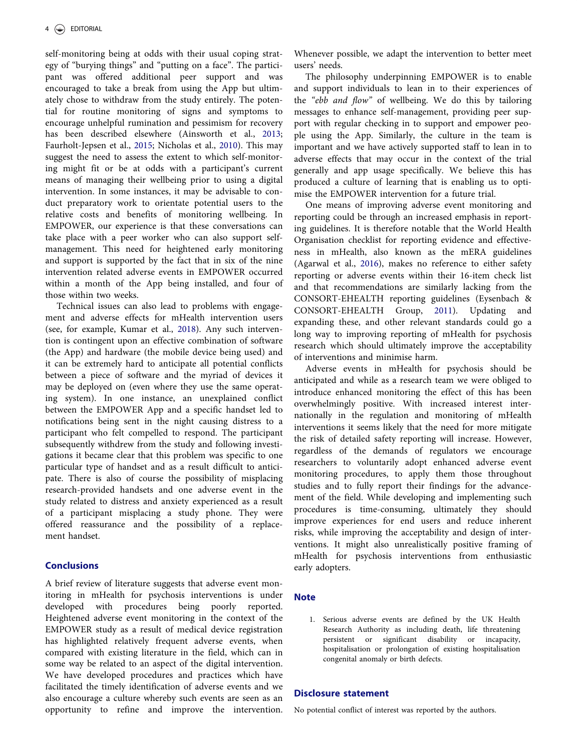<span id="page-4-0"></span>self-monitoring being at odds with their usual coping strategy of "burying things" and "putting on a face". The participant was offered additional peer support and was encouraged to take a break from using the App but ultimately chose to withdraw from the study entirely. The potential for routine monitoring of signs and symptoms to encourage unhelpful rumination and pessimism for recovery has been described elsewhere (Ainsworth et al., [2013](#page-5-0); Faurholt-Jepsen et al., [2015;](#page-5-0) Nicholas et al., [2010\)](#page-6-0). This may suggest the need to assess the extent to which self-monitoring might fit or be at odds with a participant's current means of managing their wellbeing prior to using a digital intervention. In some instances, it may be advisable to conduct preparatory work to orientate potential users to the relative costs and benefits of monitoring wellbeing. In EMPOWER, our experience is that these conversations can take place with a peer worker who can also support selfmanagement. This need for heightened early monitoring and support is supported by the fact that in six of the nine intervention related adverse events in EMPOWER occurred within a month of the App being installed, and four of those within two weeks.

Technical issues can also lead to problems with engagement and adverse effects for mHealth intervention users (see, for example, Kumar et al., [2018\)](#page-5-0). Any such intervention is contingent upon an effective combination of software (the App) and hardware (the mobile device being used) and it can be extremely hard to anticipate all potential conflicts between a piece of software and the myriad of devices it may be deployed on (even where they use the same operating system). In one instance, an unexplained conflict between the EMPOWER App and a specific handset led to notifications being sent in the night causing distress to a participant who felt compelled to respond. The participant subsequently withdrew from the study and following investigations it became clear that this problem was specific to one particular type of handset and as a result difficult to anticipate. There is also of course the possibility of misplacing research-provided handsets and one adverse event in the study related to distress and anxiety experienced as a result of a participant misplacing a study phone. They were offered reassurance and the possibility of a replacement handset.

#### **Conclusions**

A brief review of literature suggests that adverse event monitoring in mHealth for psychosis interventions is under developed with procedures being poorly reported. Heightened adverse event monitoring in the context of the EMPOWER study as a result of medical device registration has highlighted relatively frequent adverse events, when compared with existing literature in the field, which can in some way be related to an aspect of the digital intervention. We have developed procedures and practices which have facilitated the timely identification of adverse events and we also encourage a culture whereby such events are seen as an opportunity to refine and improve the intervention. Whenever possible, we adapt the intervention to better meet users' needs.

The philosophy underpinning EMPOWER is to enable and support individuals to lean in to their experiences of the "ebb and flow" of wellbeing. We do this by tailoring messages to enhance self-management, providing peer support with regular checking in to support and empower people using the App. Similarly, the culture in the team is important and we have actively supported staff to lean in to adverse effects that may occur in the context of the trial generally and app usage specifically. We believe this has produced a culture of learning that is enabling us to optimise the EMPOWER intervention for a future trial.

One means of improving adverse event monitoring and reporting could be through an increased emphasis in reporting guidelines. It is therefore notable that the World Health Organisation checklist for reporting evidence and effectiveness in mHealth, also known as the mERA guidelines (Agarwal et al., [2016\)](#page-5-0), makes no reference to either safety reporting or adverse events within their 16-item check list and that recommendations are similarly lacking from the CONSORT-EHEALTH reporting guidelines (Eysenbach & CONSORT-EHEALTH Group, [2011](#page-5-0)). Updating and expanding these, and other relevant standards could go a long way to improving reporting of mHealth for psychosis research which should ultimately improve the acceptability of interventions and minimise harm.

Adverse events in mHealth for psychosis should be anticipated and while as a research team we were obliged to introduce enhanced monitoring the effect of this has been overwhelmingly positive. With increased interest internationally in the regulation and monitoring of mHealth interventions it seems likely that the need for more mitigate the risk of detailed safety reporting will increase. However, regardless of the demands of regulators we encourage researchers to voluntarily adopt enhanced adverse event monitoring procedures, to apply them those throughout studies and to fully report their findings for the advancement of the field. While developing and implementing such procedures is time-consuming, ultimately they should improve experiences for end users and reduce inherent risks, while improving the acceptability and design of interventions. It might also unrealistically positive framing of mHealth for psychosis interventions from enthusiastic early adopters.

#### **Note**

1. Serious adverse events are defined by the UK Health Research Authority as including death, life threatening persistent or significant disability or incapacity, hospitalisation or prolongation of existing hospitalisation congenital anomaly or birth defects.

#### Disclosure statement

No potential conflict of interest was reported by the authors.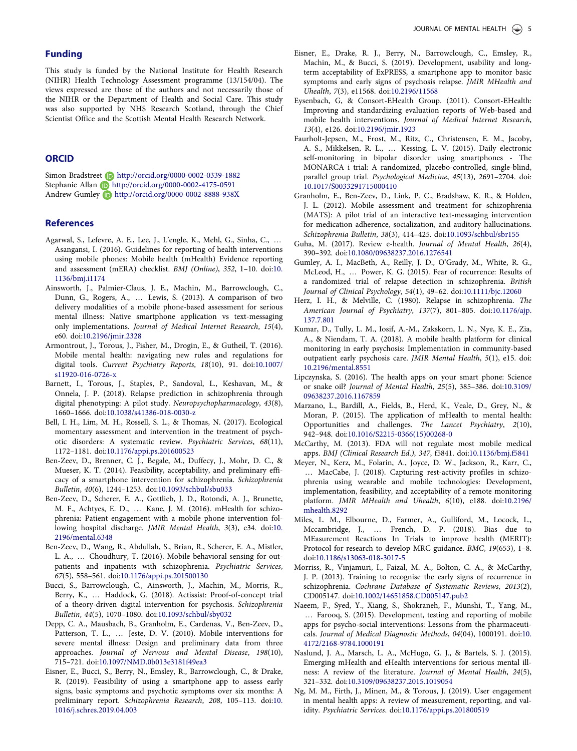#### <span id="page-5-0"></span>Funding

This study is funded by the National Institute for Health Research (NIHR) Health Technology Assessment programme (13/154/04). The views expressed are those of the authors and not necessarily those of the NIHR or the Department of Health and Social Care. This study was also supported by NHS Research Scotland, through the Chief Scientist Office and the Scottish Mental Health Research Network.

#### **ORCID**

Simon Bradstreet **b** http://orcid.org/0000-0002-0339-1882 Stephanie Allan **b** http://orcid.org/0000-0002-4175-0591 Andrew Gumley http://orcid.org/0000-0002-8888-938X

#### **References**

- Agarwal, S., Lefevre, A. E., Lee, J., L'engle, K., Mehl, G., Sinha, C., … Asangansi, I. [\(2016\)](#page-4-0). Guidelines for reporting of health interventions using mobile phones: Mobile health (mHealth) Evidence reporting and assessment (mERA) checklist. BMJ (Online), 352, 1–10. doi:[10.](https://doi.org/10.1136/bmj.i1174) [1136/bmj.i1174](https://doi.org/10.1136/bmj.i1174)
- Ainsworth, J., Palmier-Claus, J. E., Machin, M., Barrowclough, C., Dunn, G., Rogers, A., … Lewis, S. [\(2013](#page-1-0)). A comparison of two delivery modalities of a mobile phone-based assessment for serious mental illness: Native smartphone application vs text-messaging only implementations. Journal of Medical Internet Research, 15(4), e60. doi[:10.2196/jmir.2328](https://doi.org/10.2196/jmir.2328)
- Armontrout, J., Torous, J., Fisher, M., Drogin, E., & Gutheil, T. ([2016\)](#page-1-0). Mobile mental health: navigating new rules and regulations for digital tools. Current Psychiatry Reports, 18(10), 91. doi:[10.1007/](https://doi.org/10.1007/s11920-016-0726-x) [s11920-016-0726-x](https://doi.org/10.1007/s11920-016-0726-x)
- Barnett, I., Torous, J., Staples, P., Sandoval, L., Keshavan, M., & Onnela, J. P. [\(2018\)](#page-1-0). Relapse prediction in schizophrenia through digital phenotyping: A pilot study. Neuropsychopharmacology, 43(8), 1660–1666. doi:[10.1038/s41386-018-0030-z](https://doi.org/10.1038/s41386-018-0030-z)
- Bell, I. H., Lim, M. H., Rossell, S. L., & Thomas, N. [\(2017\)](#page-1-0). Ecological momentary assessment and intervention in the treatment of psychotic disorders: A systematic review. Psychiatric Services, 68(11), 1172–1181. doi:[10.1176/appi.ps.201600523](https://doi.org/10.1176/appi.ps.201600523)
- Ben-Zeev, D., Brenner, C. J., Begale, M., Duffecy, J., Mohr, D. C., & Mueser, K. T. ([2014](#page-1-0)). Feasibility, acceptability, and preliminary efficacy of a smartphone intervention for schizophrenia. Schizophrenia Bulletin, 40(6), 1244–1253. doi:[10.1093/schbul/sbu033](https://doi.org/10.1093/schbul/sbu033)
- Ben-Zeev, D., Scherer, E. A., Gottlieb, J. D., Rotondi, A. J., Brunette, M. F., Achtyes, E. D., … Kane, J. M. [\(2016](#page-2-0)). mHealth for schizophrenia: Patient engagement with a mobile phone intervention following hospital discharge. JMIR Mental Health, 3(3), e34. doi:[10.](https://doi.org/10.2196/mental.6348) [2196/mental.6348](https://doi.org/10.2196/mental.6348)
- Ben-Zeev, D., Wang, R., Abdullah, S., Brian, R., Scherer, E. A., Mistler, L. A., … Choudhury, T. [\(2016\)](#page-1-0). Mobile behavioral sensing for outpatients and inpatients with schizophrenia. Psychiatric Services, 67(5), 558–561. doi[:10.1176/appi.ps.201500130](https://doi.org/10.1176/appi.ps.201500130)
- Bucci, S., Barrowclough, C., Ainsworth, J., Machin, M., Morris, R., Berry, K., … Haddock, G. ([2018](#page-1-0)). Actissist: Proof-of-concept trial of a theory-driven digital intervention for psychosis. Schizophrenia Bulletin, 44(5), 1070–1080. doi:[10.1093/schbul/sby032](https://doi.org/10.1093/schbul/sby032)
- Depp, C. A., Mausbach, B., Granholm, E., Cardenas, V., Ben-Zeev, D., Patterson, T. L., … Jeste, D. V. [\(2010](#page-1-0)). Mobile interventions for severe mental illness: Design and preliminary data from three approaches. Journal of Nervous and Mental Disease, 198(10), 715–721. doi:[10.1097/NMD.0b013e3181f49ea3](https://doi.org/10.1097/NMD.0b013e3181f49ea3)
- Eisner, E., Bucci, S., Berry, N., Emsley, R., Barrowclough, C., & Drake, R. ([2019](#page-1-0)). Feasibility of using a smartphone app to assess early signs, basic symptoms and psychotic symptoms over six months: A preliminary report. Schizophrenia Research, 208, 105–113. doi:[10.](https://doi.org/10.1016/j.schres.2019.04.003) [1016/j.schres.2019.04.003](https://doi.org/10.1016/j.schres.2019.04.003)
- Eisner, E., Drake, R. J., Berry, N., Barrowclough, C., Emsley, R., Machin, M., & Bucci, S. [\(2019\)](#page-2-0). Development, usability and longterm acceptability of ExPRESS, a smartphone app to monitor basic symptoms and early signs of psychosis relapse. JMIR MHealth and Uhealth, 7(3), e11568. doi[:10.2196/11568](https://doi.org/10.2196/11568)
- Eysenbach, G, & Consort-EHealth Group. ([2011\)](#page-4-0). Consort-EHealth: Improving and standardizing evaluation reports of Web-based and mobile health interventions. Journal of Medical Internet Research, 13(4), e126. doi[:10.2196/jmir.1923](https://doi.org/10.2196/jmir.1923)
- Faurholt-Jepsen, M., Frost, M., Ritz, C., Christensen, E. M., Jacoby, A. S., Mikkelsen, R. L., … Kessing, L. V. ([2015](#page-4-0)). Daily electronic self-monitoring in bipolar disorder using smartphones - The MONARCA i trial: A randomized, placebo-controlled, single-blind, parallel group trial. Psychological Medicine, 45(13), 2691–2704. doi: [10.1017/S0033291715000410](https://doi.org/10.1017/S0033291715000410)
- Granholm, E., Ben-Zeev, D., Link, P. C., Bradshaw, K. R., & Holden, J. L. ([2012](#page-1-0)). Mobile assessment and treatment for schizophrenia (MATS): A pilot trial of an interactive text-messaging intervention for medication adherence, socialization, and auditory hallucinations. Schizophrenia Bulletin, 38(3), 414–425. doi:[10.1093/schbul/sbr155](https://doi.org/10.1093/schbul/sbr155)
- Guha, M. [\(2017\)](#page-1-0). Review e-health. Journal of Mental Health, 26(4), 390–392. doi[:10.1080/09638237.2016.1276541](https://doi.org/10.1080/09638237.2016.1276541)
- Gumley, A. I., MacBeth, A., Reilly, J. D., O'Grady, M., White, R. G., McLeod, H., … Power, K. G. [\(2015\)](#page-1-0). Fear of recurrence: Results of a randomized trial of relapse detection in schizophrenia. British Journal of Clinical Psychology, 54(1), 49–62. doi[:10.1111/bjc.12060](https://doi.org/10.1111/bjc.12060)
- Herz, I. H., & Melville, C. [\(1980\)](#page-1-0). Relapse in schizophrenia. The American Journal of Psychiatry, 137(7), 801–805. doi[:10.1176/ajp.](https://doi.org/10.1176/ajp.137.7.801) [137.7.801](https://doi.org/10.1176/ajp.137.7.801)
- Kumar, D., Tully, L. M., Iosif, A.-M., Zakskorn, L. N., Nye, K. E., Zia, A., & Niendam, T. A. [\(2018\)](#page-1-0). A mobile health platform for clinical monitoring in early psychosis: Implementation in community-based outpatient early psychosis care. JMIR Mental Health, 5(1), e15. doi: [10.2196/mental.8551](https://doi.org/10.2196/mental.8551)
- Lipczynska, S. [\(2016](#page-1-0)). The health apps on your smart phone: Science or snake oil? Journal of Mental Health, 25(5), 385–386. doi[:10.3109/](https://doi.org/10.3109/09638237.2016.1167859) [09638237.2016.1167859](https://doi.org/10.3109/09638237.2016.1167859)
- Marzano, L., Bardill, A., Fields, B., Herd, K., Veale, D., Grey, N., & Moran, P. [\(2015](#page-1-0)). The application of mHealth to mental health: Opportunities and challenges. The Lancet Psychiatry, 2(10), 942–948. doi[:10.1016/S2215-0366\(15\)00268-0](https://doi.org/10.1016/S2215-0366(15)00268-0)
- McCarthy, M. ([2013](#page-2-0)). FDA will not regulate most mobile medical apps. BMJ (Clinical Research Ed.), 347, f5841. doi:[10.1136/bmj.f5841](https://doi.org/10.1136/bmj.f5841)
- Meyer, N., Kerz, M., Folarin, A., Joyce, D. W., Jackson, R., Karr, C., … MacCabe, J. [\(2018\)](#page-1-0). Capturing rest-activity profiles in schizophrenia using wearable and mobile technologies: Development, implementation, feasibility, and acceptability of a remote monitoring platform. JMIR MHealth and Uhealth, 6(10), e188. doi[:10.2196/](https://doi.org/10.2196/mhealth.8292) [mhealth.8292](https://doi.org/10.2196/mhealth.8292)
- Miles, L. M., Elbourne, D., Farmer, A., Gulliford, M., Locock, L., Mccambridge, J., … French, D. P. ([2018\)](#page-1-0). Bias due to MEasurement Reactions In Trials to improve health (MERIT): Protocol for research to develop MRC guidance. BMC, 19(653), 1–8. doi:[10.1186/s13063-018-3017-5](https://doi.org/10.1186/s13063-018-3017-5)
- Morriss, R., Vinjamuri, I., Faizal, M. A., Bolton, C. A., & McCarthy, J. P. ([2013\)](#page-1-0). Training to recognise the early signs of recurrence in schizophrenia. Cochrane Database of Systematic Reviews, 2013(2), CD005147. doi:[10.1002/14651858.CD005147.pub2](https://doi.org/10.1002/14651858.CD005147.pub2)
- Naeem, F., Syed, Y., Xiang, S., Shokraneh, F., Munshi, T., Yang, M., … Farooq, S. ([2015](#page-1-0)). Development, testing and reporting of mobile apps for psycho-social interventions: Lessons from the pharmaceuticals. Journal of Medical Diagnostic Methods, 04(04), 1000191. doi:[10.](https://doi.org/10.4172/2168-9784.1000191) [4172/2168-9784.1000191](https://doi.org/10.4172/2168-9784.1000191)
- Naslund, J. A., Marsch, L. A., McHugo, G. J., & Bartels, S. J. [\(2015\)](#page-1-0). Emerging mHealth and eHealth interventions for serious mental illness: A review of the literature. Journal of Mental Health, 24(5), 321–332. doi[:10.3109/09638237.2015.1019054](https://doi.org/10.3109/09638237.2015.1019054)
- Ng, M. M., Firth, J., Minen, M., & Torous, J. ([2019](#page-2-0)). User engagement in mental health apps: A review of measurement, reporting, and validity. Psychiatric Services. doi[:10.1176/appi.ps.201800519](https://doi.org/10.1176/appi.ps.201800519)